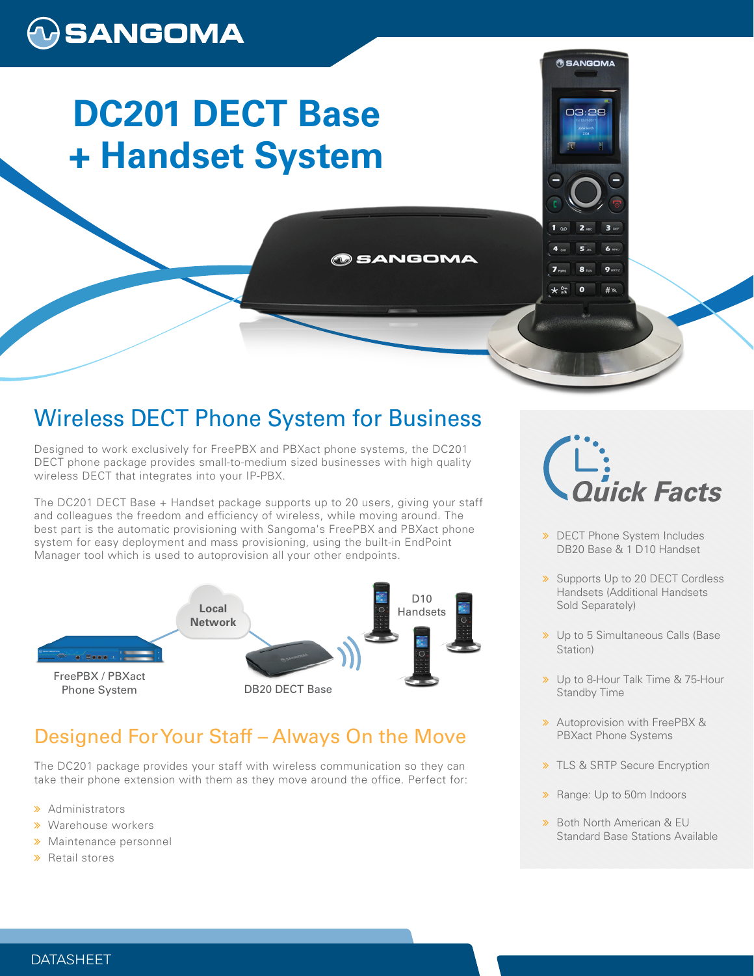# $\bigcirc$ SANGOMA

# **DC201 DECT Base + Handset System**

## Wireless DECT Phone System for Business

**SANGOMA** 

Designed to work exclusively for FreePBX and PBXact phone systems, the DC201 DECT phone package provides small-to-medium sized businesses with high quality wireless DECT that integrates into your IP-PBX.

The DC201 DECT Base + Handset package supports up to 20 users, giving your staff and colleagues the freedom and efficiency of wireless, while moving around. The best part is the automatic provisioning with Sangoma's FreePBX and PBXact phone system for easy deployment and mass provisioning, using the built-in EndPoint Manager tool which is used to autoprovision all your other endpoints.



## Designed For Your Staff – Always On the Move

The DC201 package provides your staff with wireless communication so they can take their phone extension with them as they move around the office. Perfect for:

- > Administrators
- **»** Warehouse workers
- **»** Maintenance personnel
- **»** Retail stores



**OSANGOMA** 

03:28

- **»** DECT Phone System Includes DB20 Base & 1 D10 Handset
- **»** Supports Up to 20 DECT Cordless Handsets (Additional Handsets Sold Separately)
- >> Up to 5 Simultaneous Calls (Base Station)
- > Up to 8-Hour Talk Time & 75-Hour Standby Time
- **»** Autoprovision with FreePBX & PBXact Phone Systems
- **>> TLS & SRTP Secure Encryption**
- > Range: Up to 50m Indoors
- **»** Both North American & EU Standard Base Stations Available